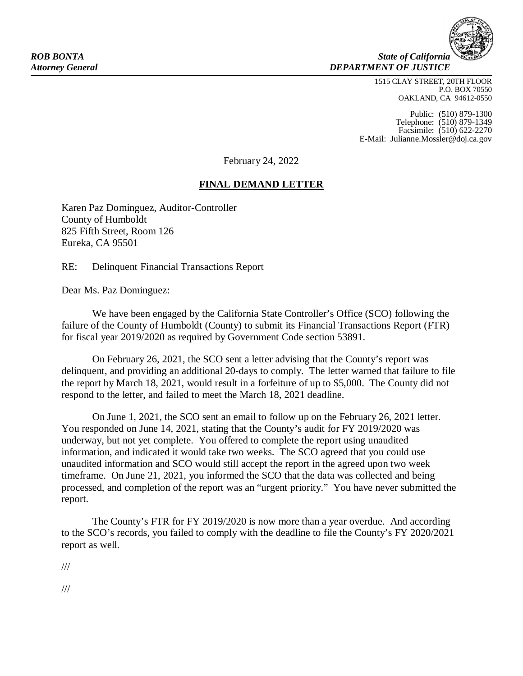**ROB BONTA** State of California *Attorney General DEPARTMENT OF JUSTICE*

> 1515 CLAY STREET, 20TH FLOOR P.O. BOX 70550 OAKLAND, CA 94612-0550

Public: (510) 879-1300 Telephone: (510) 879-1349 Facsimile: (510) 622-2270 E-Mail: [Julianne.Mossler@doj.ca.gov](mailto:Julianne.Mossler@doj.ca.gov)

February 24, 2022

## **FINAL DEMAND LETTER**

Karen Paz Dominguez, Auditor-Controller County of Humboldt 825 Fifth Street, Room 126 Eureka, CA 95501

RE: Delinquent Financial Transactions Report

Dear Ms. Paz Dominguez:

We have been engaged by the California State Controller's Office (SCO) following the failure of the County of Humboldt (County) to submit its Financial Transactions Report (FTR) for fiscal year 2019/2020 as required by Government Code section 53891.

On February 26, 2021, the SCO sent a letter advising that the County's report was delinquent, and providing an additional 20-days to comply. The letter warned that failure to file the report by March 18, 2021, would result in a forfeiture of up to \$5,000. The County did not respond to the letter, and failed to meet the March 18, 2021 deadline.

On June 1, 2021, the SCO sent an email to follow up on the February 26, 2021 letter. You responded on June 14, 2021, stating that the County's audit for FY 2019/2020 was underway, but not yet complete. You offered to complete the report using unaudited information, and indicated it would take two weeks. The SCO agreed that you could use unaudited information and SCO would still accept the report in the agreed upon two week timeframe. On June 21, 2021, you informed the SCO that the data was collected and being processed, and completion of the report was an "urgent priority." You have never submitted the report.

The County's FTR for FY 2019/2020 is now more than a year overdue. And according to the SCO's records, you failed to comply with the deadline to file the County's FY 2020/2021 report as well.

///

///